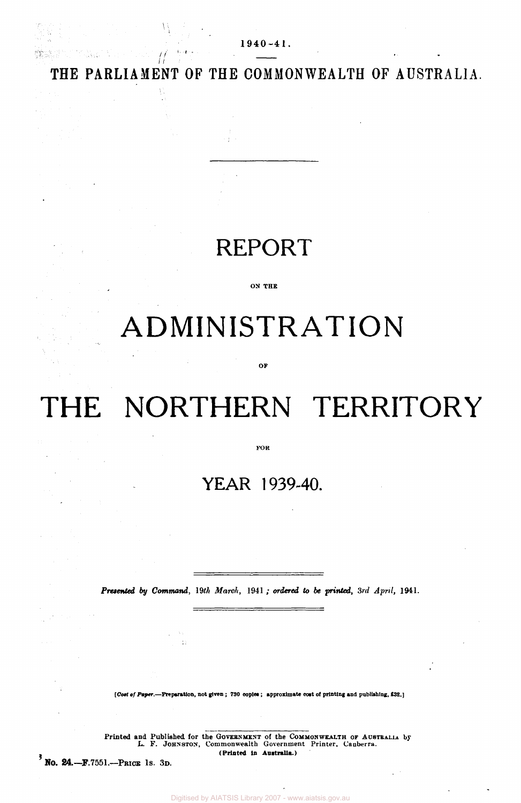**THE PARLIAMENT OF THE COMMONWEALTH OF AUSTRALIA.** 

**1940-4 1** 

 $\mathbb{E}_\mathbb{P} \times \mathfrak{g} \times \mathbb{R}$ 

Ĥ

**발**송 개시 시도

### REPORT

**ON THE** 

# ADMINISTRATION

**OK** 

## THE NORTHERN TERRITORY

**FOR** 

### **YEAR 1939-40.**

*Presented by Command, 19th March,* 1941 ; *ordered to be printed, 3rd April,* **1941.** 

*[Cost of Paper.***—Preparation, not given ; 730 copies ; approximate coat of printing and publishing, £32.)** 

 $\pm 1$ 

Printed and Published for the GOVERNMENT of the COMMONWEALTH OF AUSTRALIA by **L.** F. JOHNSTON, Commonwealth Government Printer. Canberra. **(Printed In Australia.)** 

**3 No. 24.—F.7551.—PRICE 1S. 3D.**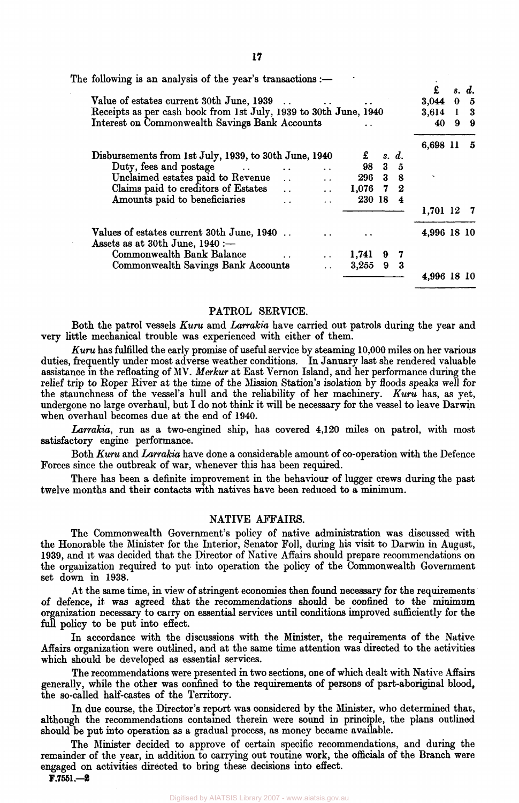| The following is an analysis of the year's transactions :-                     |                      |           |                |                |             |           |       |
|--------------------------------------------------------------------------------|----------------------|-----------|----------------|----------------|-------------|-----------|-------|
|                                                                                |                      |           |                |                | £           |           | s. d. |
| Value of estates current 30th June, 1939                                       |                      |           |                |                | 3,044       | $\bf{0}$  | 5     |
| Receipts as per cash book from 1st July, 1939 to 30th June, 1940               |                      | 3,614     | -1             | - 3            |             |           |       |
| Interest on Commonwealth Savings Bank Accounts                                 | 40                   | 9         | 9              |                |             |           |       |
|                                                                                |                      |           |                |                | 6,698 11    |           | 5     |
| Disbursements from 1st July, 1939, to 30th June, 1940                          |                      |           | $\pounds$ s.d. |                |             |           |       |
| Duty, fees and postage                                                         | $\ddot{\phantom{a}}$ | 98        | $3 -$          | $\overline{5}$ |             |           |       |
| Unclaimed estates paid to Revenue                                              | $\ddot{\phantom{a}}$ | 296 3 8   |                |                |             |           |       |
| Claims paid to creditors of Estates                                            | $\ddot{\phantom{a}}$ | $1,076$ 7 |                | $\mathbf{2}$   |             |           |       |
| Amounts paid to beneficiaries                                                  |                      | 230 18    |                | 4              |             |           |       |
|                                                                                |                      |           |                |                | 1,701 12    |           |       |
| Values of estates current 30th June, 1940<br>Assets as at 30th June, $1940 :=$ |                      |           |                |                | 4,996 18 10 |           |       |
| Commonwealth Bank Balance                                                      |                      | 1,741     |                | 7              |             |           |       |
| Commonwealth Savings Bank Accounts                                             |                      | 3,255     | 9              | $\bf{3}$       |             |           |       |
|                                                                                |                      |           |                |                | 4.996       | - 18 - 10 |       |

#### PATROL SERVICE.

Both the patrol vessels *Kuru* amd *Larrakia* have carried out patrols during the year and very little mechanical trouble was experienced with either of them.

*Kuru* has fulfilled the early promise of useful service by steaming 10,000 miles on her various duties, frequently under most adverse weather conditions. In January last she rendered valuable assistance in the refloating of MV. *Merkur* at East Vernon Island, and her performance during the relief trip to Roper River at the time of the Mission Station's isolation by floods speaks well for the staunchness of the vessel's hull and the reliability of her machinery. *Kuru* has, as yet, undergone no large overhaul, but I do not think it will be necessary for the vessel to leave Darwin when overhaul becomes due at the end of 1940.

*Larrakia,* run as a two-engined ship, has covered 4,120 miles on patrol, with most satisfactory engine performance.

Both *Kuru* and *Larrakia* have done a considerable amount of co-operation with the Defence Forces since the outbreak of war, whenever this has been required.

There has been a definite improvement in the behaviour of lugger crews during the past twelve months and their contacts with natives have been reduced to a minimum.

#### NATIVE AFFAIRS.

The Commonwealth Government's policy of native administration was discussed with the Honorable the Minister for the Interior, Senator Foll, during his visit to Darwin in August, 1939, and it was decided that the Director of Native Affairs should prepare recommendations on the organization required to put into operation the policy of the Commonwealth Government set down in 1938.

At the same time, in view of stringent economies then found necessary for the requirements of defence, it was agreed that the recommendations should be confined to the minimum organization necessary to carry on essential services until conditions improved sufficiently for the full policy to be put into effect.

In accordance with the discussions with the Minister, the requirements of the Native Affairs organization were outlined, and at the same time attention was directed to the activities which should be developed as essential services.

The recommendations were presented in two sections, one of which dealt with Native Affairs generally, while the other was confined to the requirements of persons of part-aboriginal blood, the so-called half-castes of the Territory.

In due course, the Director's report was considered by the Minister, who determined that, although the recommendations contained therein were sound in principle, the plans outlined should be put into operation as a gradual process, as money became available.

The Minister decided to approve of certain specific recommendations, and during the remainder of the year, in addition to carrying out routine work, the officials of the Branch were engaged on activities directed to bring these decisions into effect.

F.7551.—2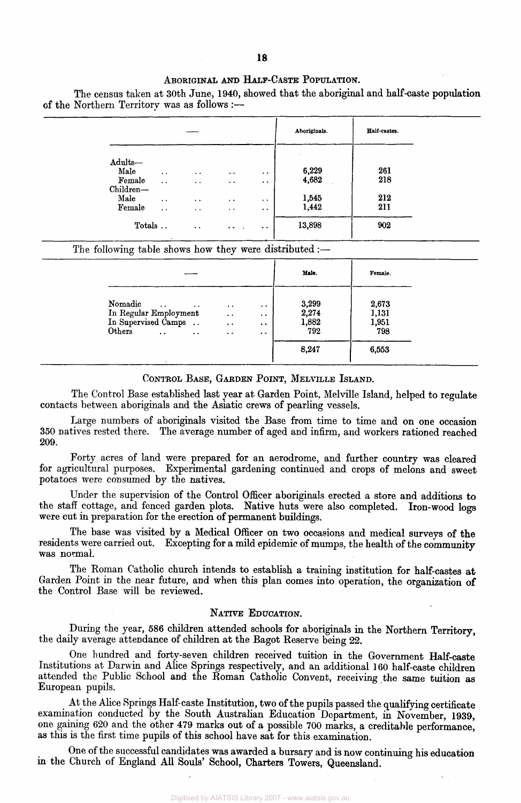#### ABORIGINAL AND HALF-CASTE POPULATION.

The census taken at 30th June, 1940, showed that the aboriginal and half-caste population of the Northern Territory was as follows :—

|                                        |                                             |                                      |                                  |                                                                     | Aboriginals.             | Half-castes. |  |
|----------------------------------------|---------------------------------------------|--------------------------------------|----------------------------------|---------------------------------------------------------------------|--------------------------|--------------|--|
| Adults-<br>Male<br>Female<br>Children- | $\ddot{\phantom{1}}$<br>$\sim$              | $\bullet$<br>$\bullet$ $\bullet$     | $\bullet$ $\bullet$<br>$\cdot$ . | $\ddot{\phantom{1}}$<br>$\bullet$                                   | $\sim$<br>6,229<br>4,682 | 261<br>218   |  |
| Male<br>Female                         | $\bullet$ $\bullet$<br>$\ddot{\phantom{0}}$ | $\bullet$ $\bullet$<br>$\sim$ $\sim$ | $\cdots$<br>$\sim$ $\sim$        | $\bullet$ $\bullet$<br>$\bullet\hspace{0.4mm}\bullet\hspace{0.4mm}$ | 1,545<br>1,442           | 212<br>211   |  |
| Totals                                 |                                             | $\bullet$ $\bullet$                  | $\cdot$ .                        | $\ddot{\phantom{0}}$                                                | 13,898                   | 902          |  |

#### The following table shows how they were distributed:—

|                                                                                                                                       |                                                                                     |                                                                   | Male.                          | Female.                        |
|---------------------------------------------------------------------------------------------------------------------------------------|-------------------------------------------------------------------------------------|-------------------------------------------------------------------|--------------------------------|--------------------------------|
| Nomadic<br>$\cdots$<br>$\bullet$ $\bullet$<br>In Regular Employment<br>In Supervised Camps<br>Others<br>$\sim$<br>$\bullet$ $\bullet$ | $\bullet$ . $\bullet$<br>$\ddot{\phantom{0}}$<br>$\ddotsc$<br>$\bullet\quad\bullet$ | $\bullet$<br>$\ddot{\phantom{0}}$<br>$\cdot$ $\cdot$<br>$\cdot$ . | 3,299<br>2,274<br>1,882<br>792 | 2,673<br>1,131<br>1,951<br>798 |
|                                                                                                                                       |                                                                                     |                                                                   | 8,247                          | 6,553                          |

#### CONTROL BASE, GARDEN POINT, MELVILLE ISLAND.

The Control Base established last year at Garden Point, Melville Island, helped to regulate contacts between aboriginals and the Asiatic crews of pearling vessels.

Large numbers of aboriginals visited the Base from time to time and on one occasion 350 natives rested there. The average number of aged and infirm, and workers rationed reached 209.

Forty acres of land were prepared for an aerodrome, and further country was cleared for agricultural purposes. Experimental gardening continued and crops of melons and sweet potatoes were consumed by the natives.

Under the supervision of the Control Officer aboriginals erected a store and additions to the staff cottage, and fenced garden plots. Native huts were also completed. Iron-wood logs were cut in preparation for the erection of permanent buildings.

The base was visited by a Medical Officer on two occasions and medical surveys of the residents were carried out. Excepting for a mild epidemic of mumps, the health of the community was normal.

The Roman Catholic church intends to establish a training institution for half-castes at Garden Point in the near future, and when this plan comes into operation, the organization of the Control Base will be reviewed.

#### NATIVE EDUCATION.

During the year, 586 children attended schools for aboriginals in the Northern Territory, the daily average attendance of children at the Bagot Reserve being 22.

One hundred and forty-seven children received tuition in the Government Half-caste Institutions at Darwin and Alice Springs respectively, and an additional 160 half-caste children attended the Public School and the Roman Catholic Convent, receiving the same tuition as European pupils.

At the Alice Springs Half-caste Institution, two of the pupils passed the qualifying certificate examination conducted by the South Australian Education Department, in November, 1939, one gaining 620 and the other 479 marks out of a possible 700 marks, a creditable performance, as this is the first time pupils of this school have sat for this examination.

One of the successful candidates was awarded a bursary and is now continuing his education in the Church of England All Souls' School, Charters Towers, Queensland.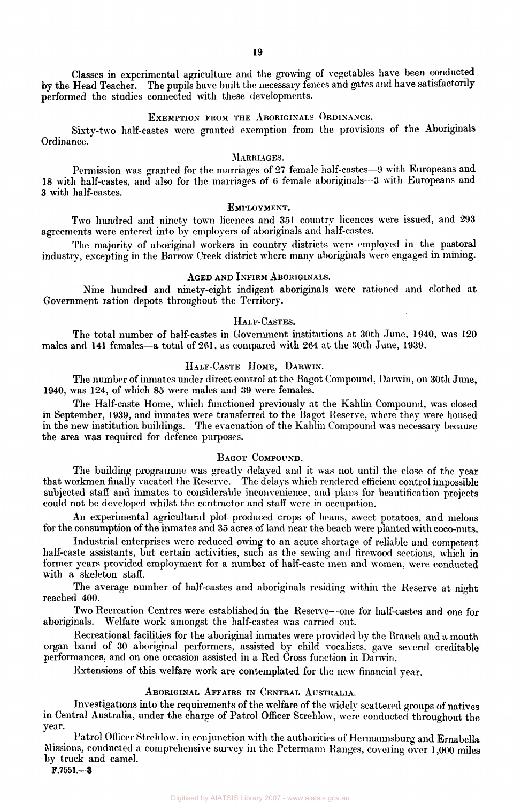Classes in experimental agriculture and the growing of vegetables have been conducted by the Head Teacher. The pupils have built the necessary fences and gates and have satisfactorily performed the studies connected with these developments.

#### EXEMPTION FROM THE ABORIGINALS ORDINANCE.

Sixty-two half-castes were granted exemption from the provisions of the Aboriginals Ordinance.

#### MARRIAGES.

Permission was granted for the marriages of 27 female half-castes—9 with Europeans and 18 with half-castes, and also for the marriages of 6 female aboriginals—3 with Europeans and 3 with half-castes.

#### EMPLOYMENT.

Two hundred and ninety town licences and 351 country licences were issued, and 293 agreements were entered into by employers of aboriginals and half-castes.

The majority of aboriginal workers in country districts were employed in the pastoral industry, excepting in the Barrow Creek district where many aboriginals were engaged in mining.

#### AGED AND INFIRM ABORIGINALS.

Nine hundred and ninety-eight indigent aboriginals were rationed and clothed at Government ration depots throughout the Territory.

#### HALF-CASTES.

The total number of half-castes in Government institutions at 30th June, 1940, was 120 males and 141 females—a total of 261, as compared with 264 at the 30th June, 1939.

#### HALF-CASTE HOME, DARWIN.

The number of inmates under direct control at the Bagot Compound. Darwin, on 30th June, 1940, was 124, of which 85 were males and 39 were females.

The Half-caste Home, which functioned previously at the Kahlin Compound, was closed in September, 1939, and inmates were transferred to the Bagot Reserve, where they were housed in the new institution buildings. The evacuation of the Kahlin Compound was necessary because the area was required for defence purposes.

#### BAGOT COMPOUND.

The building programme was greatly delayed and it was not until the close of the year that workmen finally vacated the Reserve. The delays which rendered efficient control impossible subjected staff and inmates to considerable inconvenience, and plans for beautification projects could not be developed whilst the contractor and staff were in occupation.

An experimental agricultural plot produced crops of beans, sweet potatoes, and melons for the consumption of the inmates and 35 acres of land near the beach were planted with coco-nuts.

Industrial enterprises were reduced owing to an acute shortage of reliable and competent half-caste assistants, but certain activities, such as the sewing and firewood sections, which in former years provided employment for a number of half-caste men and women, were conducted with a skeleton staff.

The average number of half-castes and aboriginals residing within the Reserve at night reached 400.

Two Recreation Centres were established in the Reserve--one for half-castes and one for aboriginals. Welfare work amongst the half-castes was carried out. Welfare work amongst the half-castes was carried out.

Recreational facilities for the aboriginal inmates were provided by the Branch and a mouth organ band of 30 aboriginal performers, assisted by child vocalists, gave several creditable performances, and on one occasion assisted in a Red Cross function in Darwin.

Extensions of this welfare work are contemplated for the new financial year.

#### ABORIGINAL AFFAIRS IN CENTRAL AUSTRALIA.

Investigations into the requirements of the welfare of the widely scattered groups of natives in Central Australia, under the charge of Patrol Officer Strehlow, were conducted throughout the year.

Patrol Officer Strehlow. in conjunction with the authorities of Hermannsburg and Ernabella Missions, conducted a comprehensive survey in the Petermann Ranges, covering over 1,000 miles by truck and camel.

F.7551.—3